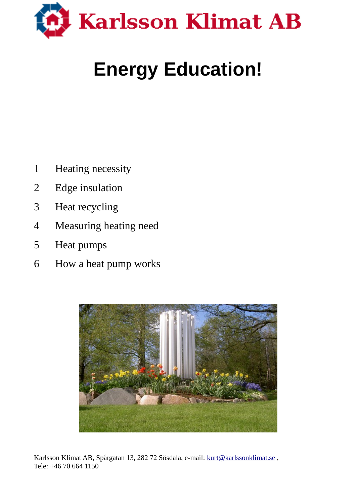

# **Energy Education!**

- Heating necessity
- Edge insulation
- Heat recycling
- Measuring heating need
- Heat pumps
- How a heat pump works



Karlsson Klimat AB, Spårgatan 13, 282 72 Sösdala, e-mail: kurt@karlssonklimat.se, Tele: +46 70 664 1150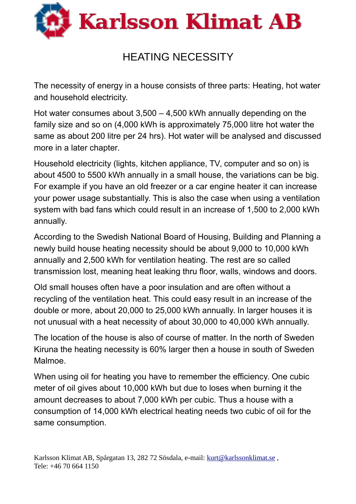

## HEATING NECESSITY

The necessity of energy in a house consists of three parts: Heating, hot water and household electricity.

Hot water consumes about 3,500 – 4,500 kWh annually depending on the family size and so on (4,000 kWh is approximately 75,000 litre hot water the same as about 200 litre per 24 hrs). Hot water will be analysed and discussed more in a later chapter.

Household electricity (lights, kitchen appliance, TV, computer and so on) is about 4500 to 5500 kWh annually in a small house, the variations can be big. For example if you have an old freezer or a car engine heater it can increase your power usage substantially. This is also the case when using a ventilation system with bad fans which could result in an increase of 1,500 to 2,000 kWh annually.

According to the Swedish National Board of Housing, Building and Planning a newly build house heating necessity should be about 9,000 to 10,000 kWh annually and 2,500 kWh for ventilation heating. The rest are so called transmission lost, meaning heat leaking thru floor, walls, windows and doors.

Old small houses often have a poor insulation and are often without a recycling of the ventilation heat. This could easy result in an increase of the double or more, about 20,000 to 25,000 kWh annually. In larger houses it is not unusual with a heat necessity of about 30,000 to 40,000 kWh annually.

The location of the house is also of course of matter. In the north of Sweden Kiruna the heating necessity is 60% larger then a house in south of Sweden Malmoe.

When using oil for heating you have to remember the efficiency. One cubic meter of oil gives about 10,000 kWh but due to loses when burning it the amount decreases to about 7,000 kWh per cubic. Thus a house with a consumption of 14,000 kWh electrical heating needs two cubic of oil for the same consumption.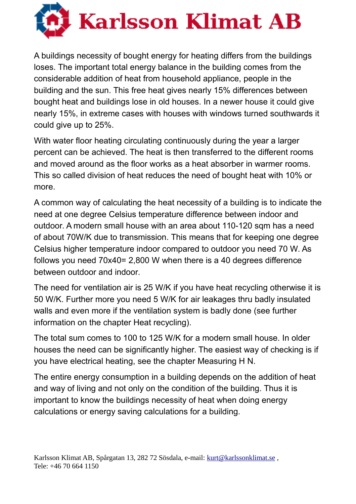

A buildings necessity of bought energy for heating differs from the buildings loses. The important total energy balance in the building comes from the considerable addition of heat from household appliance, people in the building and the sun. This free heat gives nearly 15% differences between bought heat and buildings lose in old houses. In a newer house it could give nearly 15%, in extreme cases with houses with windows turned southwards it could give up to 25%.

With water floor heating circulating continuously during the year a larger percent can be achieved. The heat is then transferred to the different rooms and moved around as the floor works as a heat absorber in warmer rooms. This so called division of heat reduces the need of bought heat with 10% or more.

A common way of calculating the heat necessity of a building is to indicate the need at one degree Celsius temperature difference between indoor and outdoor. A modern small house with an area about 110-120 sqm has a need of about 70W/K due to transmission. This means that for keeping one degree Celsius higher temperature indoor compared to outdoor you need 70 W. As follows you need 70x40= 2,800 W when there is a 40 degrees difference between outdoor and indoor.

The need for ventilation air is 25 W/K if you have heat recycling otherwise it is 50 W/K. Further more you need 5 W/K for air leakages thru badly insulated walls and even more if the ventilation system is badly done (see further information on the chapter Heat recycling).

The total sum comes to 100 to 125 W/K for a modern small house. In older houses the need can be significantly higher. The easiest way of checking is if you have electrical heating, see the chapter Measuring H N.

The entire energy consumption in a building depends on the addition of heat and way of living and not only on the condition of the building. Thus it is important to know the buildings necessity of heat when doing energy calculations or energy saving calculations for a building.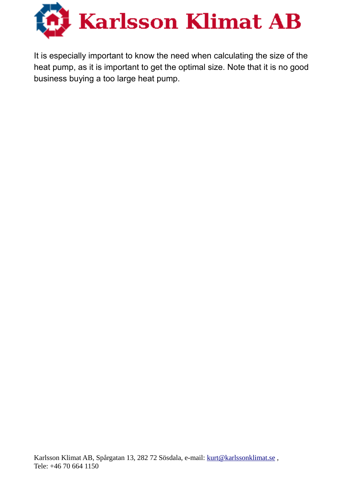

It is especially important to know the need when calculating the size of the heat pump, as it is important to get the optimal size. Note that it is no good business buying a too large heat pump.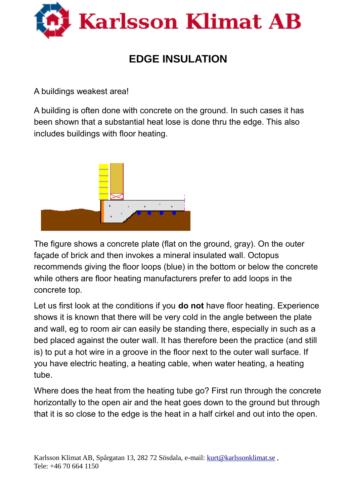

## **EDGE INSULATION**

A buildings weakest area!

A building is often done with concrete on the ground. In such cases it has been shown that a substantial heat lose is done thru the edge. This also includes buildings with floor heating.



The figure shows a concrete plate (flat on the ground, gray). On the outer façade of brick and then invokes a mineral insulated wall. Octopus recommends giving the floor loops (blue) in the bottom or below the concrete while others are floor heating manufacturers prefer to add loops in the concrete top.

Let us first look at the conditions if you **do not** have floor heating. Experience shows it is known that there will be very cold in the angle between the plate and wall, eg to room air can easily be standing there, especially in such as a bed placed against the outer wall. It has therefore been the practice (and still is) to put a hot wire in a groove in the floor next to the outer wall surface. If you have electric heating, a heating cable, when water heating, a heating tube.

Where does the heat from the heating tube go? First run through the concrete horizontally to the open air and the heat goes down to the ground but through that it is so close to the edge is the heat in a half cirkel and out into the open.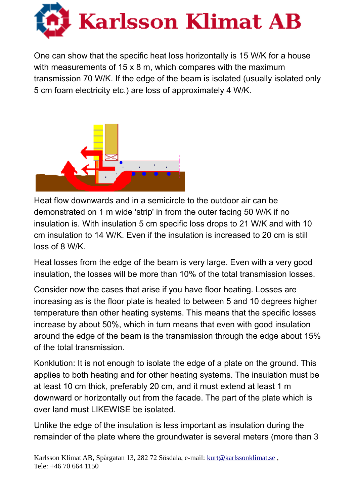

One can show that the specific heat loss horizontally is 15 W/K for a house with measurements of 15 x 8 m, which compares with the maximum transmission 70 W/K. If the edge of the beam is isolated (usually isolated only 5 cm foam electricity etc.) are loss of approximately 4 W/K.



Heat flow downwards and in a semicircle to the outdoor air can be demonstrated on 1 m wide 'strip' in from the outer facing 50 W/K if no insulation is. With insulation 5 cm specific loss drops to 21 W/K and with 10 cm insulation to 14 W/K. Even if the insulation is increased to 20 cm is still loss of 8 W/K.

Heat losses from the edge of the beam is very large. Even with a very good insulation, the losses will be more than 10% of the total transmission losses.

Consider now the cases that arise if you have floor heating. Losses are increasing as is the floor plate is heated to between 5 and 10 degrees higher temperature than other heating systems. This means that the specific losses increase by about 50%, which in turn means that even with good insulation around the edge of the beam is the transmission through the edge about 15% of the total transmission.

Konklution: It is not enough to isolate the edge of a plate on the ground. This applies to both heating and for other heating systems. The insulation must be at least 10 cm thick, preferably 20 cm, and it must extend at least 1 m downward or horizontally out from the facade. The part of the plate which is over land must LIKEWISE be isolated.

Unlike the edge of the insulation is less important as insulation during the remainder of the plate where the groundwater is several meters (more than 3

Karlsson Klimat AB, Spårgatan 13, 282 72 Sösdala, e-mail: kurt@karlssonklimat.se, Tele: +46 70 664 1150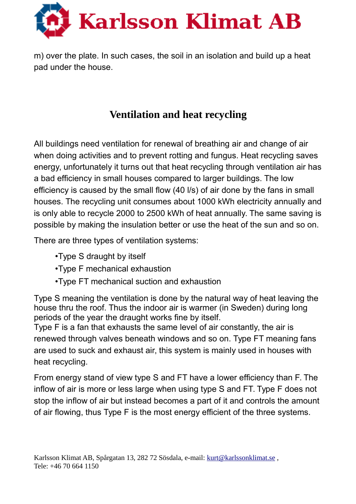

m) over the plate. In such cases, the soil in an isolation and build up a heat pad under the house.

## **Ventilation and heat recycling**

All buildings need ventilation for renewal of breathing air and change of air when doing activities and to prevent rotting and fungus. Heat recycling saves energy, unfortunately it turns out that heat recycling through ventilation air has a bad efficiency in small houses compared to larger buildings. The low efficiency is caused by the small flow (40 l/s) of air done by the fans in small houses. The recycling unit consumes about 1000 kWh electricity annually and is only able to recycle 2000 to 2500 kWh of heat annually. The same saving is possible by making the insulation better or use the heat of the sun and so on.

There are three types of ventilation systems:

- •Type S draught by itself
- •Type F mechanical exhaustion
- •Type FT mechanical suction and exhaustion

Type S meaning the ventilation is done by the natural way of heat leaving the house thru the roof. Thus the indoor air is warmer (in Sweden) during long periods of the year the draught works fine by itself.

Type F is a fan that exhausts the same level of air constantly, the air is renewed through valves beneath windows and so on. Type FT meaning fans are used to suck and exhaust air, this system is mainly used in houses with heat recycling.

From energy stand of view type S and FT have a lower efficiency than F. The inflow of air is more or less large when using type S and FT. Type F does not stop the inflow of air but instead becomes a part of it and controls the amount of air flowing, thus Type F is the most energy efficient of the three systems.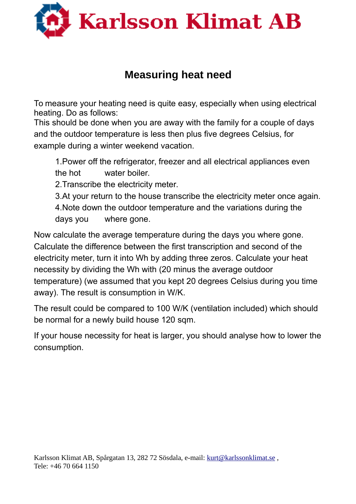

## **Measuring heat need**

To measure your heating need is quite easy, especially when using electrical heating. Do as follows:

This should be done when you are away with the family for a couple of days and the outdoor temperature is less then plus five degrees Celsius, for example during a winter weekend vacation.

1.Power off the refrigerator, freezer and all electrical appliances even the hot water boiler.

2.Transcribe the electricity meter.

3.At your return to the house transcribe the electricity meter once again.

4.Note down the outdoor temperature and the variations during the days you where gone.

Now calculate the average temperature during the days you where gone. Calculate the difference between the first transcription and second of the electricity meter, turn it into Wh by adding three zeros. Calculate your heat necessity by dividing the Wh with (20 minus the average outdoor temperature) (we assumed that you kept 20 degrees Celsius during you time away). The result is consumption in W/K.

The result could be compared to 100 W/K (ventilation included) which should be normal for a newly build house 120 sqm.

If your house necessity for heat is larger, you should analyse how to lower the consumption.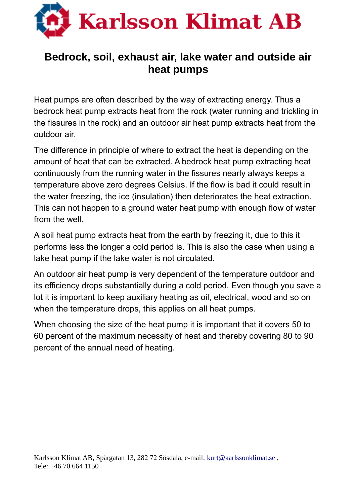

#### **Bedrock, soil, exhaust air, lake water and outside air heat pumps**

Heat pumps are often described by the way of extracting energy. Thus a bedrock heat pump extracts heat from the rock (water running and trickling in the fissures in the rock) and an outdoor air heat pump extracts heat from the outdoor air.

The difference in principle of where to extract the heat is depending on the amount of heat that can be extracted. A bedrock heat pump extracting heat continuously from the running water in the fissures nearly always keeps a temperature above zero degrees Celsius. If the flow is bad it could result in the water freezing, the ice (insulation) then deteriorates the heat extraction. This can not happen to a ground water heat pump with enough flow of water from the well.

A soil heat pump extracts heat from the earth by freezing it, due to this it performs less the longer a cold period is. This is also the case when using a lake heat pump if the lake water is not circulated.

An outdoor air heat pump is very dependent of the temperature outdoor and its efficiency drops substantially during a cold period. Even though you save a lot it is important to keep auxiliary heating as oil, electrical, wood and so on when the temperature drops, this applies on all heat pumps.

When choosing the size of the heat pump it is important that it covers 50 to 60 percent of the maximum necessity of heat and thereby covering 80 to 90 percent of the annual need of heating.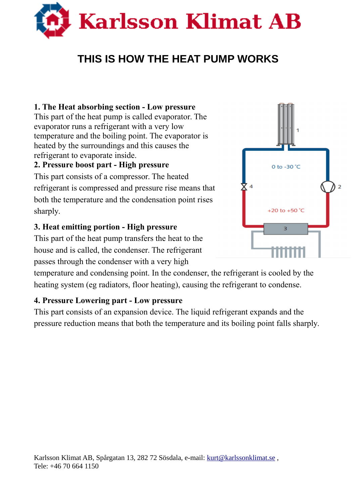

## **THIS IS HOW THE HEAT PUMP WORKS**

#### **1. The Heat absorbing section - Low pressure**

This part of the heat pump is called evaporator. The evaporator runs a refrigerant with a very low temperature and the boiling point. The evaporator is heated by the surroundings and this causes the refrigerant to evaporate inside.

#### **2. Pressure boost part - High pressure**

This part consists of a compressor. The heated refrigerant is compressed and pressure rise means that both the temperature and the condensation point rises sharply.

#### **3. Heat emitting portion - High pressure**

This part of the heat pump transfers the heat to the house and is called, the condenser. The refrigerant passes through the condenser with a very high

temperature and condensing point. In the condenser, the refrigerant is cooled by the heating system (eg radiators, floor heating), causing the refrigerant to condense.

#### **4. Pressure Lowering part - Low pressure**

This part consists of an expansion device. The liquid refrigerant expands and the pressure reduction means that both the temperature and its boiling point falls sharply.